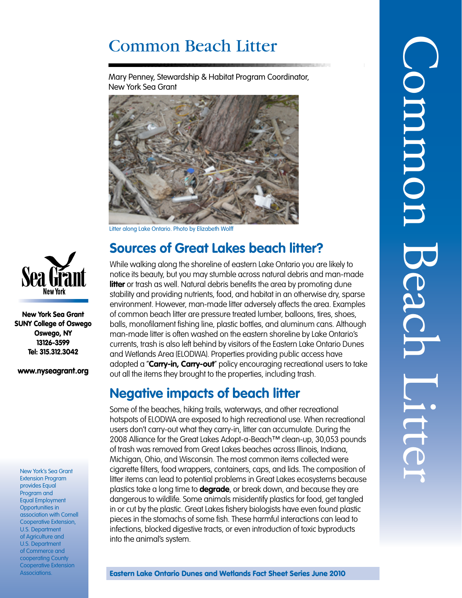# Common Beach Litter

Mary Penney, Stewardship & Habitat Program Coordinator, New York Sea Grant



Litter along Lake Ontario. Photo by Elizabeth Wolff

## **Sources of Great Lakes beach litter?**

While walking along the shoreline of eastern Lake Ontario you are likely to notice its beauty, but you may stumble across natural debris and man-made **litter** or trash as well. Natural debris benefits the area by promoting dune stability and providing nutrients, food, and habitat in an otherwise dry, sparse environment. However, man-made litter adversely affects the area. Examples of common beach litter are pressure treated lumber, balloons, tires, shoes, balls, monofilament fishing line, plastic bottles, and aluminum cans. Although man-made litter is often washed on the eastern shoreline by Lake Ontario's currents, trash is also left behind by visitors of the Eastern Lake Ontario Dunes and Wetlands Area (ELODWA). Properties providing public access have adopted a "**Carry-in, Carry-out**" policy encouraging recreational users to take out all the items they brought to the properties, including trash.

## **Negative impacts of beach litter**

Some of the beaches, hiking trails, waterways, and other recreational hotspots of ELODWA are exposed to high recreational use. When recreational users don't carry-out what they carry-in, litter can accumulate. During the 2008 Alliance for the Great Lakes Adopt-a-Beach™ clean-up, 30,053 pounds of trash was removed from Great Lakes beaches across Illinois, Indiana, Michigan, Ohio, and Wisconsin. The most common items collected were cigarette filters, food wrappers, containers, caps, and lids. The composition of litter items can lead to potential problems in Great Lakes ecosystems because plastics take a long time to **degrade**, or break down, and because they are dangerous to wildlife. Some animals misidentify plastics for food, get tangled in or cut by the plastic. Great Lakes fishery biologists have even found plastic pieces in the stomachs of some fish. These harmful interactions can lead to infections, blocked digestive tracts, or even introduction of toxic byproducts into the animal's system.



New York Sea Grant SUNY College of Oswego Oswego, NY 13126-3599 Tel: 315.312.3042

www.nyseagrant.org

New York's Sea Grant Extension Program provides Equal Program and Equal Employment Opportunities in association with Cornell Cooperative Extension, U.S. Department of Agriculture and U.S. Department of Commerce and cooperating County Cooperative Extension Associations.